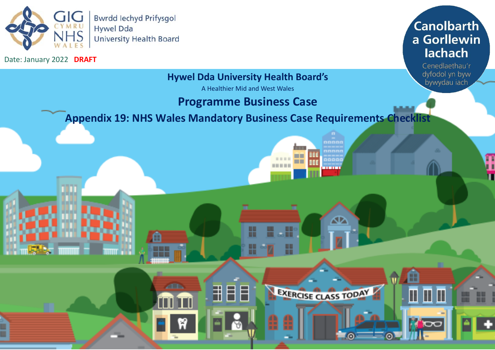

m

**ZER** 

Date: January 2022 **DRAFT**



Cenedlaethau'r dyfodol yn byw bywydau iach

Æ

Π

 $\blacksquare$ 

**TOC** 

## **Hywel Dda University Health Board's**

A Healthier Mid and West Wales

## **Programme Business Case**

╫

H

用目目

1000

☎

EXERCISE CLASS TODAY

m m

00000

Œ

**Appendix 19: NHS Wales Mandatory Business Case Requirements Checklist**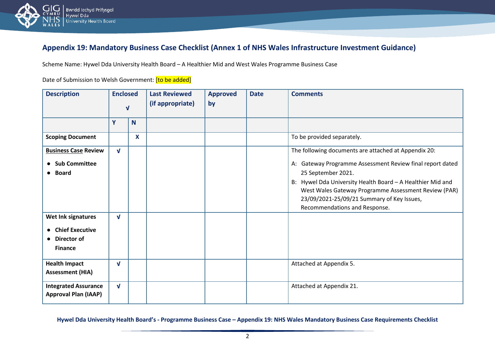

## **Appendix 19: Mandatory Business Case Checklist (Annex 1 of NHS Wales Infrastructure Investment Guidance)**

Scheme Name: Hywel Dda University Health Board – A Healthier Mid and West Wales Programme Business Case

Date of Submission to Welsh Government: [to be added]

| <b>Description</b>                                                            | <b>Enclosed</b><br>$\mathbf{v}$ |          | <b>Last Reviewed</b><br>(if appropriate) | <b>Approved</b><br>by | <b>Date</b> | <b>Comments</b>                                                                                                                                                                                                                                                                                                                              |
|-------------------------------------------------------------------------------|---------------------------------|----------|------------------------------------------|-----------------------|-------------|----------------------------------------------------------------------------------------------------------------------------------------------------------------------------------------------------------------------------------------------------------------------------------------------------------------------------------------------|
|                                                                               | Y                               | <b>N</b> |                                          |                       |             |                                                                                                                                                                                                                                                                                                                                              |
| <b>Scoping Document</b>                                                       |                                 | X        |                                          |                       |             | To be provided separately.                                                                                                                                                                                                                                                                                                                   |
| <b>Business Case Review</b><br><b>Sub Committee</b><br>Board                  | $\mathbf{V}$                    |          |                                          |                       |             | The following documents are attached at Appendix 20:<br>A: Gateway Programme Assessment Review final report dated<br>25 September 2021.<br>B: Hywel Dda University Health Board - A Healthier Mid and<br>West Wales Gateway Programme Assessment Review (PAR)<br>23/09/2021-25/09/21 Summary of Key Issues,<br>Recommendations and Response. |
| Wet Ink signatures<br><b>Chief Executive</b><br>Director of<br><b>Finance</b> | $\mathbf{v}$                    |          |                                          |                       |             |                                                                                                                                                                                                                                                                                                                                              |
| <b>Health Impact</b><br><b>Assessment (HIA)</b>                               | $\mathbf{v}$                    |          |                                          |                       |             | Attached at Appendix 5.                                                                                                                                                                                                                                                                                                                      |
| <b>Integrated Assurance</b><br><b>Approval Plan (IAAP)</b>                    | $\mathbf{V}$                    |          |                                          |                       |             | Attached at Appendix 21.                                                                                                                                                                                                                                                                                                                     |

**Hywel Dda University Health Board's - Programme Business Case – Appendix 19: NHS Wales Mandatory Business Case Requirements Checklist**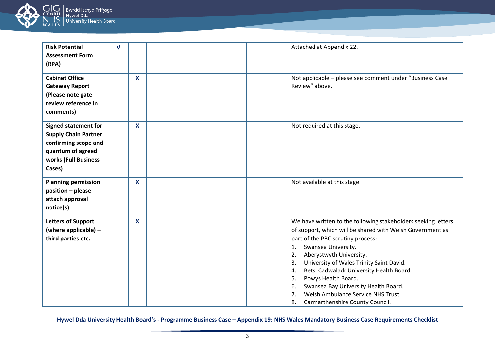

| <b>Risk Potential</b><br><b>Assessment Form</b><br>(RPA)                                                                                  | $\mathbf{V}$ |              | Attached at Appendix 22.                                                                                                                                                                                                                                                                                                                                                                                                                                                                                      |
|-------------------------------------------------------------------------------------------------------------------------------------------|--------------|--------------|---------------------------------------------------------------------------------------------------------------------------------------------------------------------------------------------------------------------------------------------------------------------------------------------------------------------------------------------------------------------------------------------------------------------------------------------------------------------------------------------------------------|
| <b>Cabinet Office</b><br><b>Gateway Report</b><br>(Please note gate<br>review reference in<br>comments)                                   |              | $\mathbf{x}$ | Not applicable - please see comment under "Business Case"<br>Review" above.                                                                                                                                                                                                                                                                                                                                                                                                                                   |
| <b>Signed statement for</b><br><b>Supply Chain Partner</b><br>confirming scope and<br>quantum of agreed<br>works (Full Business<br>Cases) |              | X            | Not required at this stage.                                                                                                                                                                                                                                                                                                                                                                                                                                                                                   |
| <b>Planning permission</b><br>position - please<br>attach approval<br>notice(s)                                                           |              | $\mathbf{x}$ | Not available at this stage.                                                                                                                                                                                                                                                                                                                                                                                                                                                                                  |
| <b>Letters of Support</b><br>(where applicable) -<br>third parties etc.                                                                   |              | X            | We have written to the following stakeholders seeking letters<br>of support, which will be shared with Welsh Government as<br>part of the PBC scrutiny process:<br>Swansea University.<br>$\mathbf{1}$ .<br>Aberystwyth University.<br>2.<br>University of Wales Trinity Saint David.<br>3.<br>Betsi Cadwaladr University Health Board.<br>4.<br>Powys Health Board.<br>5.<br>Swansea Bay University Health Board.<br>6.<br>Welsh Ambulance Service NHS Trust.<br>7.<br>8.<br>Carmarthenshire County Council. |

**Hywel Dda University Health Board's - Programme Business Case – Appendix 19: NHS Wales Mandatory Business Case Requirements Checklist**